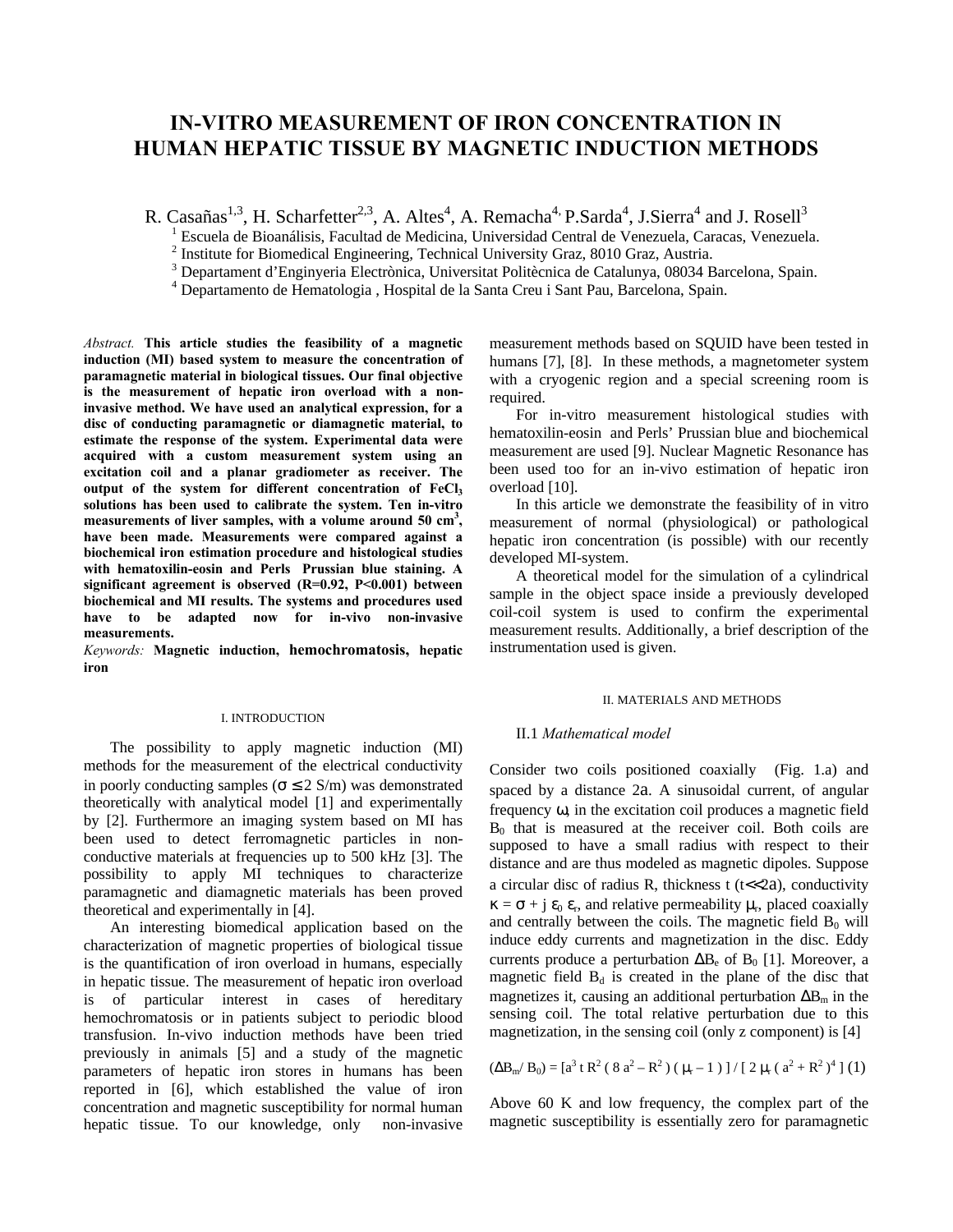# **IN-VITRO MEASUREMENT OF IRON CONCENTRATION IN HUMAN HEPATIC TISSUE BY MAGNETIC INDUCTION METHODS**

R. Casañas<sup>1,3</sup>, H. Scharfetter<sup>2,3</sup>, A. Altes<sup>4</sup>, A. Remacha<sup>4,</sup> P. Sarda<sup>4</sup>, J. Sierra<sup>4</sup> and J. Rosell<sup>3</sup>

<sup>1</sup> Escuela de Bioanálisis, Facultad de Medicina, Universidad Central de Venezuela, Caracas, Venezuela.

 $2$  Institute for Biomedical Engineering, Technical University Graz, 8010 Graz, Austria.

<sup>3</sup> Departament d'Enginyeria Electrònica, Universitat Politècnica de Catalunya, 08034 Barcelona, Spain.

<sup>4</sup> Departamento de Hematologia, Hospital de la Santa Creu i Sant Pau, Barcelona, Spain.

*Abstract.* **This article studies the feasibility of a magnetic induction (MI) based system to measure the concentration of paramagnetic material in biological tissues. Our final objective is the measurement of hepatic iron overload with a noninvasive method. We have used an analytical expression, for a disc of conducting paramagnetic or diamagnetic material, to estimate the response of the system. Experimental data were acquired with a custom measurement system using an excitation coil and a planar gradiometer as receiver. The output of the system for different concentration of FeCl<sup>3</sup> solutions has been used to calibrate the system. Ten in-vitro measurements of liver samples, with a volume around 50 cm<sup>3</sup> , have been made. Measurements were compared against a biochemical iron estimation procedure and histological studies with hematoxilin-eosin and Perls' Prussian blue staining. A significant agreement is observed (R=0.92, P<0.001) between biochemical and MI results. The systems and procedures used have to be adapted now for in-vivo non-invasive measurements.**

*Keywords:* **Magnetic induction, hemochromatosis, hepatic iron**

#### I. INTRODUCTION

The possibility to apply magnetic induction (MI) methods for the measurement of the electrical conductivity in poorly conducting samples ( $\sigma \leq 2$  S/m) was demonstrated theoretically with analytical model [1] and experimentally by [2]. Furthermore an imaging system based on MI has been used to detect ferromagnetic particles in nonconductive materials at frequencies up to 500 kHz [3]. The possibility to apply MI techniques to characterize paramagnetic and diamagnetic materials has been proved theoretical and experimentally in [4].

An interesting biomedical application based on the characterization of magnetic properties of biological tissue is the quantification of iron overload in humans, especially in hepatic tissue. The measurement of hepatic iron overload is of particular interest in cases of hereditary hemochromatosis or in patients subject to periodic blood transfusion. In-vivo induction methods have been tried previously in animals [5] and a study of the magnetic parameters of hepatic iron stores in humans has been reported in [6], which established the value of iron concentration and magnetic susceptibility for normal human hepatic tissue. To our knowledge, only non-invasive

measurement methods based on SQUID have been tested in humans [7], [8]. In these methods, a magnetometer system with a cryogenic region and a special screening room is required.

For in-vitro measurement histological studies with hematoxilin-eosin and Perls' Prussian blue and biochemical measurement are used [9]. Nuclear Magnetic Resonance has been used too for an in-vivo estimation of hepatic iron overload [10].

In this article we demonstrate the feasibility of in vitro measurement of normal (physiological) or pathological hepatic iron concentration (is possible) with our recently developed MI-system.

A theoretical model for the simulation of a cylindrical sample in the object space inside a previously developed coil-coil system is used to confirm the experimental measurement results. Additionally, a brief description of the instrumentation used is given.

#### II. MATERIALS AND METHODS

## II.1 *Mathematical model*

Consider two coils positioned coaxially (Fig. 1.a) and spaced by a distance 2a. A sinusoidal current, of angular frequency ω, in the excitation coil produces a magnetic field  $B<sub>0</sub>$  that is measured at the receiver coil. Both coils are supposed to have a small radius with respect to their distance and are thus modeled as magnetic dipoles. Suppose a circular disc of radius R, thickness  $t$  ( $t \ll 2a$ ), conductivity  $\kappa = \sigma + j \varepsilon_0 \varepsilon_r$ , and relative permeability  $\mu_r$ , placed coaxially and centrally between the coils. The magnetic field  $B_0$  will induce eddy currents and magnetization in the disc. Eddy currents produce a perturbation  $\Delta B_e$  of  $B_0$  [1]. Moreover, a magnetic field  $B_d$  is created in the plane of the disc that magnetizes it, causing an additional perturbation  $\Delta B_m$  in the sensing coil. The total relative perturbation due to this magnetization, in the sensing coil (only z component) is [4]

 $(\Delta B_m / B_0) = [a^3 \text{ t } R^2 (8 a^2 - R^2) ( \mu_r - 1) ] / [2 \mu_r (a^2 + R^2)^4] (1)$ 

Above 60 K and low frequency, the complex part of the magnetic susceptibility is essentially zero for paramagnetic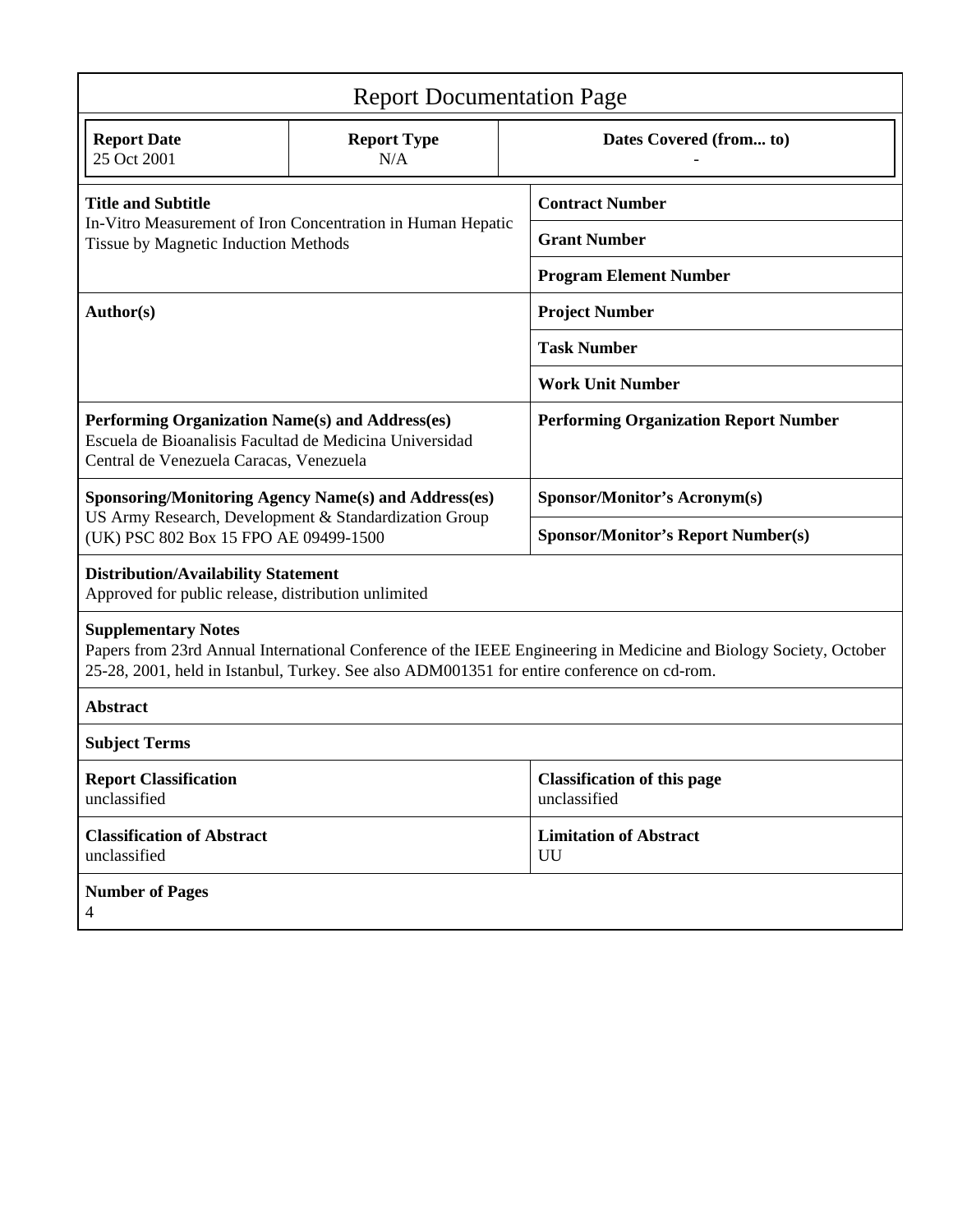| <b>Report Documentation Page</b>                                                                                                                                                                                                              |                           |  |                                                    |  |  |  |
|-----------------------------------------------------------------------------------------------------------------------------------------------------------------------------------------------------------------------------------------------|---------------------------|--|----------------------------------------------------|--|--|--|
| <b>Report Date</b><br>25 Oct 2001                                                                                                                                                                                                             | <b>Report Type</b><br>N/A |  | Dates Covered (from to)                            |  |  |  |
| <b>Title and Subtitle</b><br>In-Vitro Measurement of Iron Concentration in Human Hepatic<br>Tissue by Magnetic Induction Methods                                                                                                              |                           |  | <b>Contract Number</b>                             |  |  |  |
|                                                                                                                                                                                                                                               |                           |  | <b>Grant Number</b>                                |  |  |  |
|                                                                                                                                                                                                                                               |                           |  | <b>Program Element Number</b>                      |  |  |  |
| Author(s)                                                                                                                                                                                                                                     |                           |  | <b>Project Number</b>                              |  |  |  |
|                                                                                                                                                                                                                                               |                           |  | <b>Task Number</b>                                 |  |  |  |
|                                                                                                                                                                                                                                               |                           |  | <b>Work Unit Number</b>                            |  |  |  |
| Performing Organization Name(s) and Address(es)<br>Escuela de Bioanalisis Facultad de Medicina Universidad<br>Central de Venezuela Caracas, Venezuela                                                                                         |                           |  | <b>Performing Organization Report Number</b>       |  |  |  |
| <b>Sponsoring/Monitoring Agency Name(s) and Address(es)</b><br>US Army Research, Development & Standardization Group<br>(UK) PSC 802 Box 15 FPO AE 09499-1500                                                                                 |                           |  | <b>Sponsor/Monitor's Acronym(s)</b>                |  |  |  |
|                                                                                                                                                                                                                                               |                           |  | <b>Sponsor/Monitor's Report Number(s)</b>          |  |  |  |
| <b>Distribution/Availability Statement</b><br>Approved for public release, distribution unlimited                                                                                                                                             |                           |  |                                                    |  |  |  |
| <b>Supplementary Notes</b><br>Papers from 23rd Annual International Conference of the IEEE Engineering in Medicine and Biology Society, October<br>25-28, 2001, held in Istanbul, Turkey. See also ADM001351 for entire conference on cd-rom. |                           |  |                                                    |  |  |  |
| <b>Abstract</b>                                                                                                                                                                                                                               |                           |  |                                                    |  |  |  |
| <b>Subject Terms</b>                                                                                                                                                                                                                          |                           |  |                                                    |  |  |  |
| <b>Report Classification</b><br>unclassified                                                                                                                                                                                                  |                           |  | <b>Classification of this page</b><br>unclassified |  |  |  |
| <b>Classification of Abstract</b><br>unclassified                                                                                                                                                                                             |                           |  | <b>Limitation of Abstract</b><br>UU                |  |  |  |
| <b>Number of Pages</b><br>$\overline{4}$                                                                                                                                                                                                      |                           |  |                                                    |  |  |  |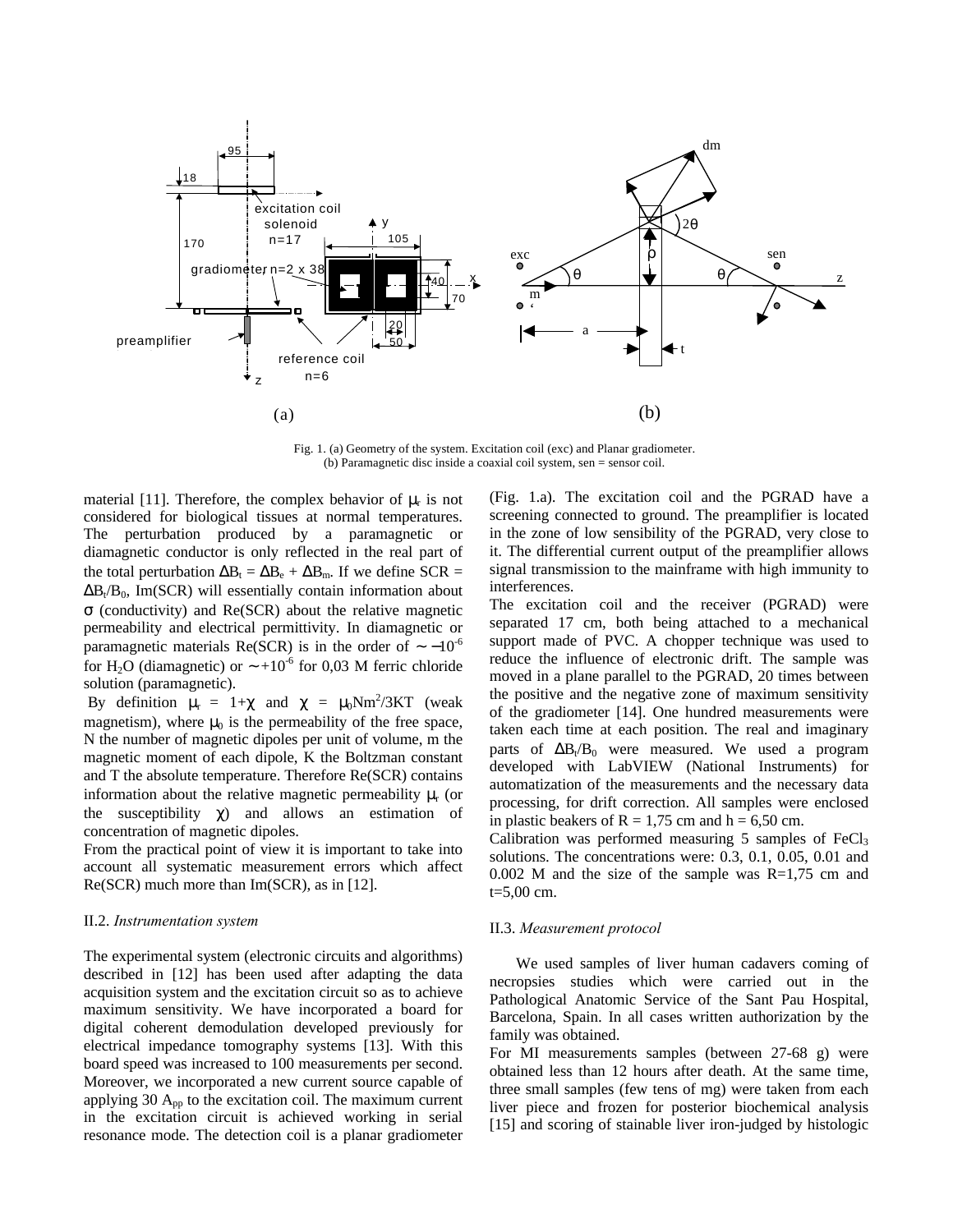

Fig. 1. (a) Geometry of the system. Excitation coil (exc) and Planar gradiometer. (b) Paramagnetic disc inside a coaxial coil system, sen = sensor coil.

material [11]. Therefore, the complex behavior of  $\mu_r$  is not considered for biological tissues at normal temperatures. The perturbation produced by a paramagnetic or diamagnetic conductor is only reflected in the real part of the total perturbation  $\Delta B_t = \Delta B_e + \Delta B_m$ . If we define SCR =  $\Delta B_t/B_0$ , Im(SCR) will essentially contain information about σ (conductivity) and Re(SCR) about the relative magnetic permeability and electrical permittivity. In diamagnetic or paramagnetic materials Re(SCR) is in the order of  $\sim -10^{-6}$ for H<sub>2</sub>O (diamagnetic) or  $\sim$  +10<sup>-6</sup> for 0,03 M ferric chloride solution (paramagnetic).

By definition  $\mu_r = 1 + \chi$  and  $\chi = \mu_0 N m^2 / 3KT$  (weak magnetism), where  $\mu_0$  is the permeability of the free space, N the number of magnetic dipoles per unit of volume, m the magnetic moment of each dipole, K the Boltzman constant and T the absolute temperature. Therefore Re(SCR) contains information about the relative magnetic permeability  $\mu$ <sub>r</sub> (or the susceptibility  $\chi$ ) and allows an estimation of concentration of magnetic dipoles.

From the practical point of view it is important to take into account all systematic measurement errors which affect Re(SCR) much more than Im(SCR), as in [12].

# II.2. *Instrumentation system*

The experimental system (electronic circuits and algorithms) described in [12] has been used after adapting the data acquisition system and the excitation circuit so as to achieve maximum sensitivity. We have incorporated a board for digital coherent demodulation developed previously for electrical impedance tomography systems [13]. With this board speed was increased to 100 measurements per second. Moreover, we incorporated a new current source capable of applying 30  $A_{\text{op}}$  to the excitation coil. The maximum current in the excitation circuit is achieved working in serial resonance mode. The detection coil is a planar gradiometer

(Fig. 1.a). The excitation coil and the PGRAD have a screening connected to ground. The preamplifier is located in the zone of low sensibility of the PGRAD, very close to it. The differential current output of the preamplifier allows signal transmission to the mainframe with high immunity to interferences.

The excitation coil and the receiver (PGRAD) were separated 17 cm, both being attached to a mechanical support made of PVC. A chopper technique was used to reduce the influence of electronic drift. The sample was moved in a plane parallel to the PGRAD, 20 times between the positive and the negative zone of maximum sensitivity of the gradiometer [14]. One hundred measurements were taken each time at each position. The real and imaginary parts of  $\Delta B_t/B_0$  were measured. We used a program developed with LabVIEW (National Instruments) for automatization of the measurements and the necessary data processing, for drift correction. All samples were enclosed in plastic beakers of  $R = 1,75$  cm and  $h = 6,50$  cm.

Calibration was performed measuring  $5$  samples of  $FeCl<sub>3</sub>$ solutions. The concentrations were: 0.3, 0.1, 0.05, 0.01 and 0.002 M and the size of the sample was  $R=1,75$  cm and t=5,00 cm.

## II.3. *Measurement protocol*

We used samples of liver human cadavers coming of necropsies studies which were carried out in the Pathological Anatomic Service of the Sant Pau Hospital, Barcelona, Spain. In all cases written authorization by the family was obtained.

For MI measurements samples (between 27-68 g) were obtained less than 12 hours after death. At the same time, three small samples (few tens of mg) were taken from each liver piece and frozen for posterior biochemical analysis [15] and scoring of stainable liver iron-judged by histologic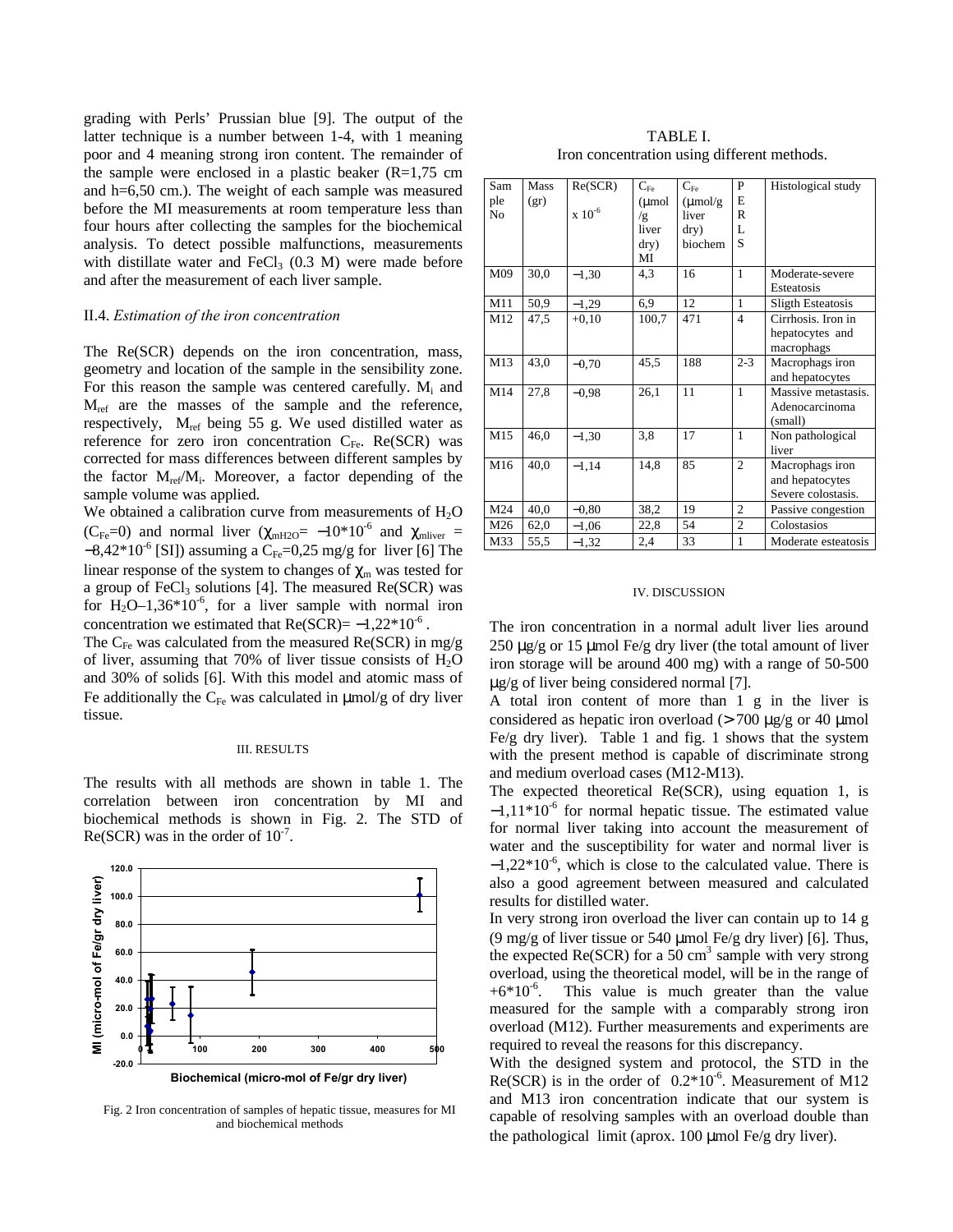grading with Perls' Prussian blue [9]. The output of the latter technique is a number between 1-4, with 1 meaning poor and 4 meaning strong iron content. The remainder of the sample were enclosed in a plastic beaker  $(R=1,75 \text{ cm})$ and h=6,50 cm.). The weight of each sample was measured before the MI measurements at room temperature less than four hours after collecting the samples for the biochemical analysis. To detect possible malfunctions, measurements with distillate water and FeCl<sub>3</sub>  $(0.3 \text{ M})$  were made before and after the measurement of each liver sample.

## II.4. *Estimation of the iron concentration*

The Re(SCR) depends on the iron concentration, mass, geometry and location of the sample in the sensibility zone. For this reason the sample was centered carefully. M<sub>i</sub> and  $M_{ref}$  are the masses of the sample and the reference, respectively, M<sub>ref</sub> being 55 g. We used distilled water as reference for zero iron concentration CFe. Re(SCR) was corrected for mass differences between different samples by the factor M<sub>ref</sub>/M<sub>i</sub>. Moreover, a factor depending of the sample volume was applied.

We obtained a calibration curve from measurements of  $H_2O$ (C<sub>Fe</sub>=0) and normal liver ( $\chi_{mH2O}$ = -10\*10<sup>-6</sup> and  $\chi_{mliver}$  =  $-8,42*10^{-6}$  [SI]) assuming a C<sub>Fe</sub>=0,25 mg/g for liver [6] The linear response of the system to changes of  $\chi_{\rm m}$  was tested for a group of FeCl<sub>3</sub> solutions [4]. The measured  $Re(SCR)$  was for H<sub>2</sub>O–1,36\*10<sup>-6</sup>, for a liver sample with normal iron concentration we estimated that  $Re(SCR) = -1,22*10^{-6}$ .

The  $C_{Fe}$  was calculated from the measured Re(SCR) in mg/g of liver, assuming that 70% of liver tissue consists of  $H_2O$ and 30% of solids [6]. With this model and atomic mass of Fe additionally the  $C_{Fe}$  was calculated in  $\mu$ mol/g of dry liver tissue.

#### III. RESULTS

The results with all methods are shown in table 1. The correlation between iron concentration by MI and biochemical methods is shown in Fig. 2. The STD of Re(SCR) was in the order of  $10^{-7}$ .



Fig. 2 Iron concentration of samples of hepatic tissue, measures for MI and biochemical methods

TABLE I. Iron concentration using different methods.

| Sam<br>ple<br>N <sub>0</sub> | <b>Mass</b><br>(gr) | Re(SCR)<br>$\ge 10^{-6}$ | $C_{Fe}$<br>$(\mu$ mol<br>/g<br>liver<br>dry)<br>MI | $C_{F_P}$<br>$(\mu \text{mol/g})$<br>liver<br>$\rm{dry})$<br><b>biochem</b> | P<br>E<br>R<br>L<br>S | Histological study                                       |
|------------------------------|---------------------|--------------------------|-----------------------------------------------------|-----------------------------------------------------------------------------|-----------------------|----------------------------------------------------------|
| M09                          | 30,0                | $-1,30$                  | 4.3                                                 | 16                                                                          | 1                     | Moderate-severe<br>Esteatosis                            |
| M11                          | 50,9                | $-1,29$                  | 6,9                                                 | 12                                                                          | 1                     | <b>Sligth Esteatosis</b>                                 |
| M12                          | 47,5                | $+0.10$                  | 100,7                                               | 471                                                                         | 4                     | Cirrhosis. Iron in<br>hepatocytes and<br>macrophags      |
| M13                          | 43,0                | $-0,70$                  | 45,5                                                | 188                                                                         | $2 - 3$               | Macrophags iron<br>and hepatocytes                       |
| M14                          | 27,8                | $-0.98$                  | 26,1                                                | 11                                                                          | 1                     | Massive metastasis.<br>Adenocarcinoma<br>(small)         |
| M15                          | 46,0                | $-1,30$                  | 3,8                                                 | 17                                                                          | 1                     | Non pathological<br>liver                                |
| M16                          | 40,0                | $-1,14$                  | 14,8                                                | 85                                                                          | $\overline{c}$        | Macrophags iron<br>and hepatocytes<br>Severe colostasis. |
| M24                          | 40,0                | $-0.80$                  | 38,2                                                | 19                                                                          | $\overline{c}$        | Passive congestion                                       |
| M26                          | 62,0                | $-1,06$                  | 22,8                                                | 54                                                                          | $\overline{c}$        | Colostasios                                              |
| M33                          | 55,5                | $-1,32$                  | 2,4                                                 | 33                                                                          | 1                     | Moderate esteatosis                                      |

#### IV. DISCUSSION

The iron concentration in a normal adult liver lies around 250  $\mu$ g/g or 15  $\mu$ mol Fe/g dry liver (the total amount of liver iron storage will be around 400 mg) with a range of 50-500 μg/g of liver being considered normal [7].

A total iron content of more than 1 g in the liver is considered as hepatic iron overload ( $> 700 \mu$ g/g or 40 µmol Fe/g dry liver). Table 1 and fig. 1 shows that the system with the present method is capable of discriminate strong and medium overload cases (M12-M13).

The expected theoretical Re(SCR), using equation 1, is  $-1,11*10^{-6}$  for normal hepatic tissue. The estimated value for normal liver taking into account the measurement of water and the susceptibility for water and normal liver is  $-1,22*10^{-6}$ , which is close to the calculated value. There is also a good agreement between measured and calculated results for distilled water.

In very strong iron overload the liver can contain up to 14 g (9 mg/g of liver tissue or 540 µmol Fe/g dry liver) [6]. Thus, the expected  $Re(SCR)$  for a 50 cm<sup>3</sup> sample with very strong overload, using the theoretical model, will be in the range of  $+6*10^6$ . This value is much greater than the value measured for the sample with a comparably strong iron overload (M12). Further measurements and experiments are required to reveal the reasons for this discrepancy.

With the designed system and protocol, the STD in the Re(SCR) is in the order of  $0.2*10^{-6}$ . Measurement of M12 and M13 iron concentration indicate that our system is capable of resolving samples with an overload double than the pathological limit (aprox. 100 μmol Fe/g dry liver).